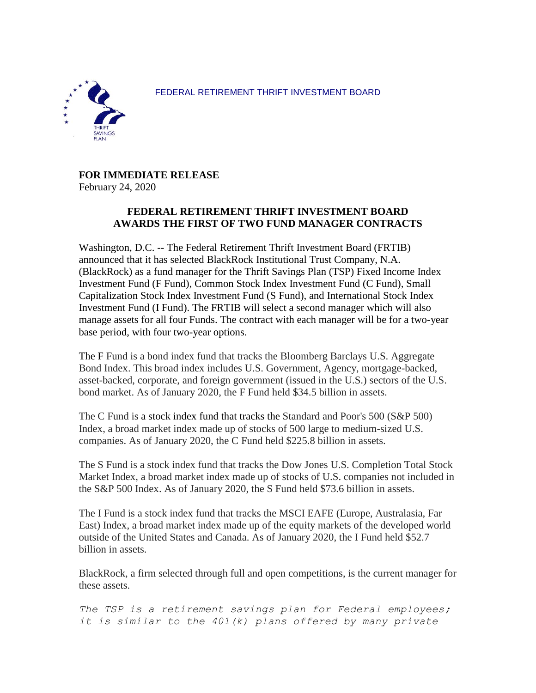



**FOR IMMEDIATE RELEASE** February 24, 2020

## **FEDERAL RETIREMENT THRIFT INVESTMENT BOARD AWARDS THE FIRST OF TWO FUND MANAGER CONTRACTS**

Washington, D.C. -- The Federal Retirement Thrift Investment Board (FRTIB) announced that it has selected BlackRock Institutional Trust Company, N.A. (BlackRock) as a fund manager for the Thrift Savings Plan (TSP) Fixed Income Index Investment Fund (F Fund), Common Stock Index Investment Fund (C Fund), Small Capitalization Stock Index Investment Fund (S Fund), and International Stock Index Investment Fund (I Fund). The FRTIB will select a second manager which will also manage assets for all four Funds. The contract with each manager will be for a two-year base period, with four two-year options.

The F Fund is a bond index fund that tracks the Bloomberg Barclays U.S. Aggregate Bond Index. This broad index includes U.S. Government, Agency, mortgage-backed, asset-backed, corporate, and foreign government (issued in the U.S.) sectors of the U.S. bond market. As of January 2020, the F Fund held \$34.5 billion in assets.

The C Fund is a stock index fund that tracks the Standard and Poor's 500 (S&P 500) Index, a broad market index made up of stocks of 500 large to medium-sized U.S. companies. As of January 2020, the C Fund held \$225.8 billion in assets.

The S Fund is a stock index fund that tracks the Dow Jones U.S. Completion Total Stock Market Index, a broad market index made up of stocks of U.S. companies not included in the S&P 500 Index. As of January 2020, the S Fund held \$73.6 billion in assets.

The I Fund is a stock index fund that tracks the MSCI EAFE (Europe, Australasia, Far East) Index, a broad market index made up of the equity markets of the developed world outside of the United States and Canada. As of January 2020, the I Fund held \$52.7 billion in assets.

BlackRock, a firm selected through full and open competitions, is the current manager for these assets.

*The TSP is a retirement savings plan for Federal employees; it is similar to the 401(k) plans offered by many private*